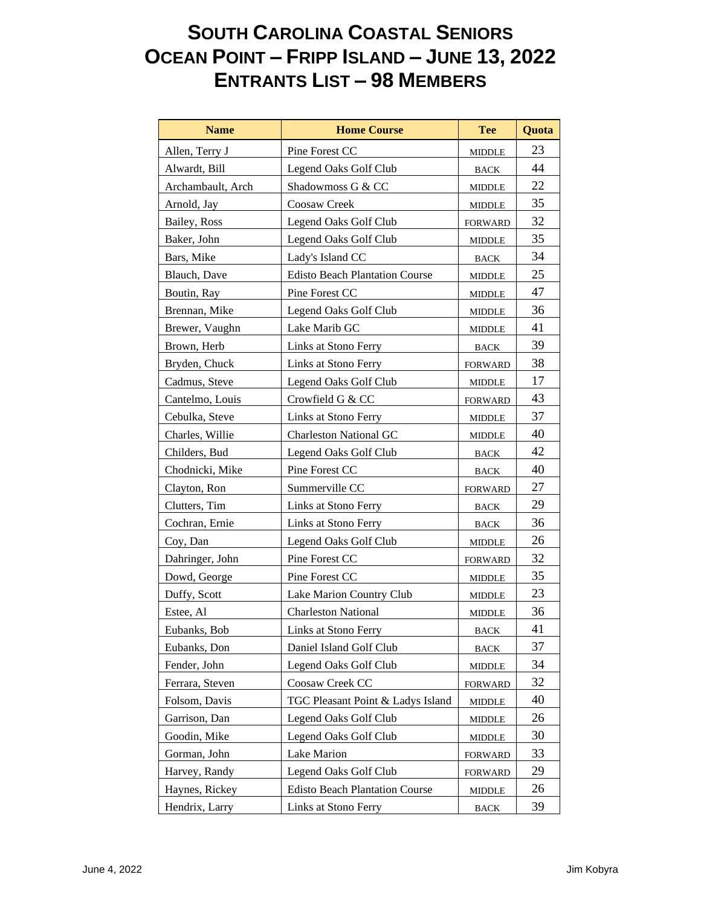## **SOUTH CAROLINA COASTAL SENIORS OCEAN POINT – FRIPP ISLAND – JUNE 13, 2022 ENTRANTS LIST – 98 MEMBERS**

| <b>Name</b>       | <b>Home Course</b>                    | <b>Tee</b>     | Quota |
|-------------------|---------------------------------------|----------------|-------|
| Allen, Terry J    | Pine Forest CC                        | <b>MIDDLE</b>  | 23    |
| Alwardt, Bill     | Legend Oaks Golf Club                 | <b>BACK</b>    | 44    |
| Archambault, Arch | Shadowmoss G & CC                     | <b>MIDDLE</b>  | 22    |
| Arnold, Jay       | Coosaw Creek                          | <b>MIDDLE</b>  | 35    |
| Bailey, Ross      | Legend Oaks Golf Club                 | <b>FORWARD</b> | 32    |
| Baker, John       | Legend Oaks Golf Club                 | <b>MIDDLE</b>  | 35    |
| Bars, Mike        | Lady's Island CC                      | BACK           | 34    |
| Blauch, Dave      | <b>Edisto Beach Plantation Course</b> | <b>MIDDLE</b>  | 25    |
| Boutin, Ray       | Pine Forest CC                        | <b>MIDDLE</b>  | 47    |
| Brennan, Mike     | Legend Oaks Golf Club                 | <b>MIDDLE</b>  | 36    |
| Brewer, Vaughn    | Lake Marib GC                         | <b>MIDDLE</b>  | 41    |
| Brown, Herb       | Links at Stono Ferry                  | <b>BACK</b>    | 39    |
| Bryden, Chuck     | Links at Stono Ferry                  | <b>FORWARD</b> | 38    |
| Cadmus, Steve     | Legend Oaks Golf Club                 | MIDDLE         | 17    |
| Cantelmo, Louis   | Crowfield G & CC                      | <b>FORWARD</b> | 43    |
| Cebulka, Steve    | Links at Stono Ferry                  | <b>MIDDLE</b>  | 37    |
| Charles, Willie   | <b>Charleston National GC</b>         | <b>MIDDLE</b>  | 40    |
| Childers, Bud     | Legend Oaks Golf Club                 | <b>BACK</b>    | 42    |
| Chodnicki, Mike   | Pine Forest CC                        | <b>BACK</b>    | 40    |
| Clayton, Ron      | Summerville CC                        | <b>FORWARD</b> | 27    |
| Clutters, Tim     | Links at Stono Ferry                  | <b>BACK</b>    | 29    |
| Cochran, Ernie    | Links at Stono Ferry                  | <b>BACK</b>    | 36    |
| Coy, Dan          | Legend Oaks Golf Club                 | <b>MIDDLE</b>  | 26    |
| Dahringer, John   | Pine Forest CC                        | <b>FORWARD</b> | 32    |
| Dowd, George      | Pine Forest CC                        | MIDDLE         | 35    |
| Duffy, Scott      | Lake Marion Country Club              | <b>MIDDLE</b>  | 23    |
| Estee, Al         | <b>Charleston National</b>            | <b>MIDDLE</b>  | 36    |
| Eubanks, Bob      | Links at Stono Ferry                  | <b>BACK</b>    | 41    |
| Eubanks, Don      | Daniel Island Golf Club               | <b>BACK</b>    | 37    |
| Fender, John      | Legend Oaks Golf Club                 | <b>MIDDLE</b>  | 34    |
| Ferrara, Steven   | Coosaw Creek CC                       | <b>FORWARD</b> | 32    |
| Folsom, Davis     | TGC Pleasant Point & Ladys Island     | <b>MIDDLE</b>  | 40    |
| Garrison, Dan     | Legend Oaks Golf Club                 | <b>MIDDLE</b>  | 26    |
| Goodin, Mike      | Legend Oaks Golf Club                 | <b>MIDDLE</b>  | 30    |
| Gorman, John      | Lake Marion                           | <b>FORWARD</b> | 33    |
| Harvey, Randy     | Legend Oaks Golf Club                 | <b>FORWARD</b> | 29    |
| Haynes, Rickey    | <b>Edisto Beach Plantation Course</b> | MIDDLE         | 26    |
| Hendrix, Larry    | Links at Stono Ferry                  | <b>BACK</b>    | 39    |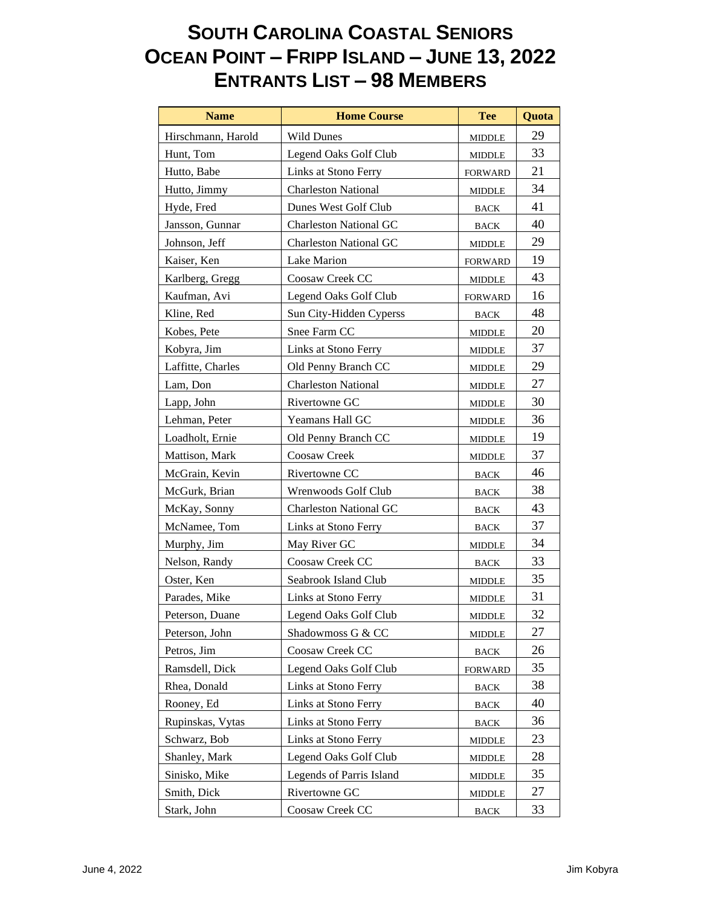## **SOUTH CAROLINA COASTAL SENIORS OCEAN POINT – FRIPP ISLAND – JUNE 13, 2022 ENTRANTS LIST – 98 MEMBERS**

| <b>Name</b>        | <b>Home Course</b>            | <b>Tee</b>                      | Quota |
|--------------------|-------------------------------|---------------------------------|-------|
| Hirschmann, Harold | <b>Wild Dunes</b>             | MIDDLE                          | 29    |
| Hunt, Tom          | Legend Oaks Golf Club         | <b>MIDDLE</b>                   | 33    |
| Hutto, Babe        | Links at Stono Ferry          | <b>FORWARD</b>                  | 21    |
| Hutto, Jimmy       | <b>Charleston National</b>    | <b>MIDDLE</b>                   | 34    |
| Hyde, Fred         | Dunes West Golf Club          | <b>BACK</b>                     | 41    |
| Jansson, Gunnar    | <b>Charleston National GC</b> | <b>BACK</b>                     | 40    |
| Johnson, Jeff      | <b>Charleston National GC</b> | MIDDLE                          | 29    |
| Kaiser, Ken        | Lake Marion                   | <b>FORWARD</b>                  | 19    |
| Karlberg, Gregg    | Coosaw Creek CC               | <b>MIDDLE</b>                   | 43    |
| Kaufman, Avi       | Legend Oaks Golf Club         | <b>FORWARD</b>                  | 16    |
| Kline, Red         | Sun City-Hidden Cyperss       | <b>BACK</b>                     | 48    |
| Kobes, Pete        | Snee Farm CC                  | MIDDLE                          | 20    |
| Kobyra, Jim        | Links at Stono Ferry          | <b>MIDDLE</b>                   | 37    |
| Laffitte, Charles  | Old Penny Branch CC           | MIDDLE                          | 29    |
| Lam, Don           | <b>Charleston National</b>    | <b>MIDDLE</b>                   | 27    |
| Lapp, John         | Rivertowne GC                 | <b>MIDDLE</b>                   | 30    |
| Lehman, Peter      | Yeamans Hall GC               | <b>MIDDLE</b>                   | 36    |
| Loadholt, Ernie    | Old Penny Branch CC           | MIDDLE                          | 19    |
| Mattison, Mark     | Coosaw Creek                  | MIDDLE                          | 37    |
| McGrain, Kevin     | Rivertowne CC                 | <b>BACK</b>                     | 46    |
| McGurk, Brian      | Wrenwoods Golf Club           | <b>BACK</b>                     | 38    |
| McKay, Sonny       | <b>Charleston National GC</b> | <b>BACK</b>                     | 43    |
| McNamee, Tom       | Links at Stono Ferry          | <b>BACK</b>                     | 37    |
| Murphy, Jim        | May River GC                  | <b>MIDDLE</b>                   | 34    |
| Nelson, Randy      | Coosaw Creek CC               | <b>BACK</b>                     | 33    |
| Oster, Ken         | Seabrook Island Club          | <b>MIDDLE</b>                   | 35    |
| Parades, Mike      | Links at Stono Ferry          | <b>MIDDLE</b>                   | 31    |
| Peterson, Duane    | Legend Oaks Golf Club         | <b>MIDDLE</b>                   | 32    |
| Peterson, John     | Shadowmoss G & CC             | <b>MIDDLE</b>                   | 27    |
| Petros, Jim        | Coosaw Creek CC               | $_{\mbox{\footnotesize{BACK}}}$ | 26    |
| Ramsdell, Dick     | Legend Oaks Golf Club         | <b>FORWARD</b>                  | 35    |
| Rhea, Donald       | Links at Stono Ferry          | <b>BACK</b>                     | 38    |
| Rooney, Ed         | Links at Stono Ferry          | <b>BACK</b>                     | 40    |
| Rupinskas, Vytas   | Links at Stono Ferry          | <b>BACK</b>                     | 36    |
| Schwarz, Bob       | Links at Stono Ferry          | <b>MIDDLE</b>                   | 23    |
| Shanley, Mark      | Legend Oaks Golf Club         | <b>MIDDLE</b>                   | 28    |
| Sinisko, Mike      | Legends of Parris Island      | <b>MIDDLE</b>                   | 35    |
| Smith, Dick        | Rivertowne GC                 | <b>MIDDLE</b>                   | 27    |
| Stark, John        | Coosaw Creek CC               | <b>BACK</b>                     | 33    |